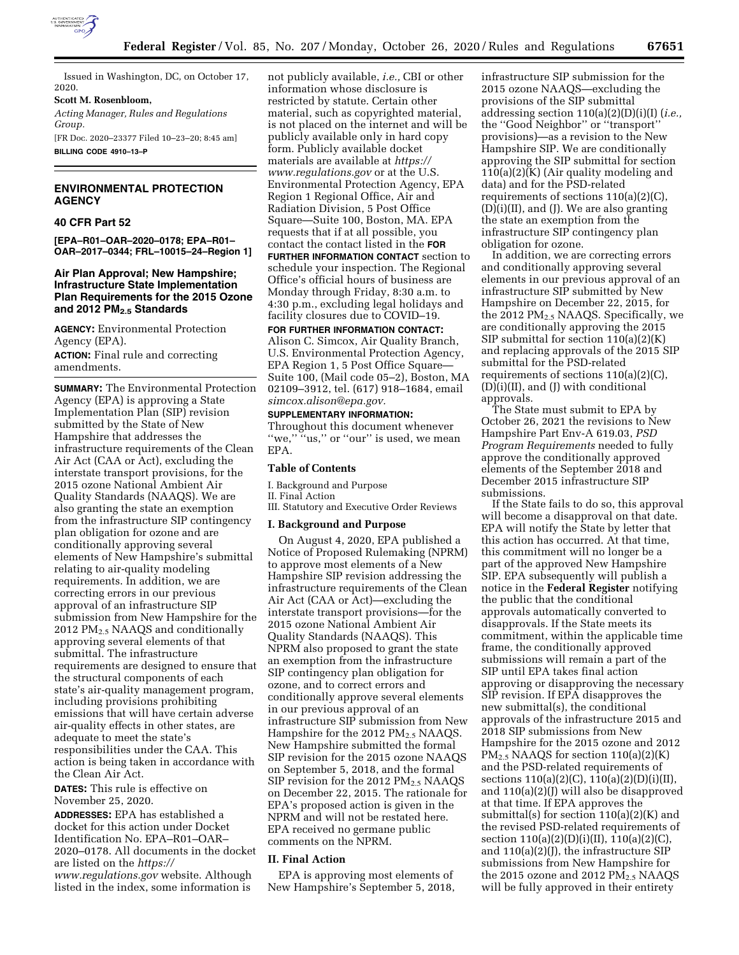

Issued in Washington, DC, on October 17, 2020.

**Scott M. Rosenbloom,** 

*Acting Manager, Rules and Regulations Group.* 

[FR Doc. 2020–23377 Filed 10–23–20; 8:45 am] **BILLING CODE 4910–13–P** 

## **ENVIRONMENTAL PROTECTION AGENCY**

### **40 CFR Part 52**

**[EPA–R01–OAR–2020–0178; EPA–R01– OAR–2017–0344; FRL–10015–24–Region 1]** 

## **Air Plan Approval; New Hampshire; Infrastructure State Implementation Plan Requirements for the 2015 Ozone and 2012 PM2.5 Standards**

**AGENCY:** Environmental Protection Agency (EPA).

**ACTION:** Final rule and correcting amendments.

**SUMMARY:** The Environmental Protection Agency (EPA) is approving a State Implementation Plan (SIP) revision submitted by the State of New Hampshire that addresses the infrastructure requirements of the Clean Air Act (CAA or Act), excluding the interstate transport provisions, for the 2015 ozone National Ambient Air Quality Standards (NAAQS). We are also granting the state an exemption from the infrastructure SIP contingency plan obligation for ozone and are conditionally approving several elements of New Hampshire's submittal relating to air-quality modeling requirements. In addition, we are correcting errors in our previous approval of an infrastructure SIP submission from New Hampshire for the 2012 PM2.5 NAAQS and conditionally approving several elements of that submittal. The infrastructure requirements are designed to ensure that the structural components of each state's air-quality management program, including provisions prohibiting emissions that will have certain adverse air-quality effects in other states, are adequate to meet the state's responsibilities under the CAA. This action is being taken in accordance with the Clean Air Act.

**DATES:** This rule is effective on November 25, 2020.

**ADDRESSES:** EPA has established a docket for this action under Docket Identification No. EPA–R01–OAR– 2020–0178. All documents in the docket are listed on the *[https://](https://www.regulations.gov) [www.regulations.gov](https://www.regulations.gov)* website. Although listed in the index, some information is

not publicly available, *i.e.,* CBI or other information whose disclosure is restricted by statute. Certain other material, such as copyrighted material, is not placed on the internet and will be publicly available only in hard copy form. Publicly available docket materials are available at *[https://](https://www.regulations.gov) [www.regulations.gov](https://www.regulations.gov)* or at the U.S. Environmental Protection Agency, EPA Region 1 Regional Office, Air and Radiation Division, 5 Post Office Square—Suite 100, Boston, MA. EPA requests that if at all possible, you contact the contact listed in the **FOR FURTHER INFORMATION CONTACT** section to schedule your inspection. The Regional Office's official hours of business are Monday through Friday, 8:30 a.m. to 4:30 p.m., excluding legal holidays and facility closures due to COVID–19.

# **FOR FURTHER INFORMATION CONTACT:**

Alison C. Simcox, Air Quality Branch, U.S. Environmental Protection Agency, EPA Region 1, 5 Post Office Square— Suite 100, (Mail code 05–2), Boston, MA 02109–3912, tel. (617) 918–1684, email *[simcox.alison@epa.gov.](mailto:simcox.alison@epa.gov)* 

### **SUPPLEMENTARY INFORMATION:**

Throughout this document whenever<br>"we," "us," or "our" is used, we mean "us," or "our" is used, we mean EPA.

## **Table of Contents**

I. Background and Purpose II. Final Action III. Statutory and Executive Order Reviews

### **I. Background and Purpose**

On August 4, 2020, EPA published a Notice of Proposed Rulemaking (NPRM) to approve most elements of a New Hampshire SIP revision addressing the infrastructure requirements of the Clean Air Act (CAA or Act)—excluding the interstate transport provisions—for the 2015 ozone National Ambient Air Quality Standards (NAAQS). This NPRM also proposed to grant the state an exemption from the infrastructure SIP contingency plan obligation for ozone, and to correct errors and conditionally approve several elements in our previous approval of an infrastructure SIP submission from New Hampshire for the 2012  $PM<sub>2.5</sub> NAAQS$ . New Hampshire submitted the formal SIP revision for the 2015 ozone NAAQS on September 5, 2018, and the formal SIP revision for the 2012  $PM_{2.5}$  NAAQS on December 22, 2015. The rationale for EPA's proposed action is given in the NPRM and will not be restated here. EPA received no germane public comments on the NPRM.

### **II. Final Action**

EPA is approving most elements of New Hampshire's September 5, 2018, infrastructure SIP submission for the 2015 ozone NAAQS—excluding the provisions of the SIP submittal addressing section 110(a)(2)(D)(i)(I) (*i.e.,*  the ''Good Neighbor'' or ''transport'' provisions)—as a revision to the New Hampshire SIP. We are conditionally approving the SIP submittal for section 110(a)(2)(K) (Air quality modeling and data) and for the PSD-related requirements of sections 110(a)(2)(C), (D)(i)(II), and (J). We are also granting the state an exemption from the infrastructure SIP contingency plan obligation for ozone.

In addition, we are correcting errors and conditionally approving several elements in our previous approval of an infrastructure SIP submitted by New Hampshire on December 22, 2015, for the 2012  $PM_2$ , NAAQS. Specifically, we are conditionally approving the 2015 SIP submittal for section 110(a)(2)(K) and replacing approvals of the 2015 SIP submittal for the PSD-related requirements of sections 110(a)(2)(C), (D)(i)(II), and (J) with conditional approvals.

The State must submit to EPA by October 26, 2021 the revisions to New Hampshire Part Env-A 619.03, *PSD Program Requirements* needed to fully approve the conditionally approved elements of the September 2018 and December 2015 infrastructure SIP submissions.

If the State fails to do so, this approval will become a disapproval on that date. EPA will notify the State by letter that this action has occurred. At that time, this commitment will no longer be a part of the approved New Hampshire SIP. EPA subsequently will publish a notice in the **Federal Register** notifying the public that the conditional approvals automatically converted to disapprovals. If the State meets its commitment, within the applicable time frame, the conditionally approved submissions will remain a part of the SIP until EPA takes final action approving or disapproving the necessary SIP revision. If EPA disapproves the new submittal(s), the conditional approvals of the infrastructure 2015 and 2018 SIP submissions from New Hampshire for the 2015 ozone and 2012  $PM<sub>2.5</sub> NAAQS$  for section  $110(a)(2)(K)$ and the PSD-related requirements of sections  $110(a)(2)(C)$ ,  $110(a)(2)(D)(i)(II)$ , and 110(a)(2)(J) will also be disapproved at that time. If EPA approves the submittal(s) for section 110(a)(2)(K) and the revised PSD-related requirements of section 110(a)(2)(D)(i)(II), 110(a)(2)(C), and  $110(a)(2)(J)$ , the infrastructure SIP submissions from New Hampshire for the 2015 ozone and 2012  $PM<sub>2.5</sub> NAAQS$ will be fully approved in their entirety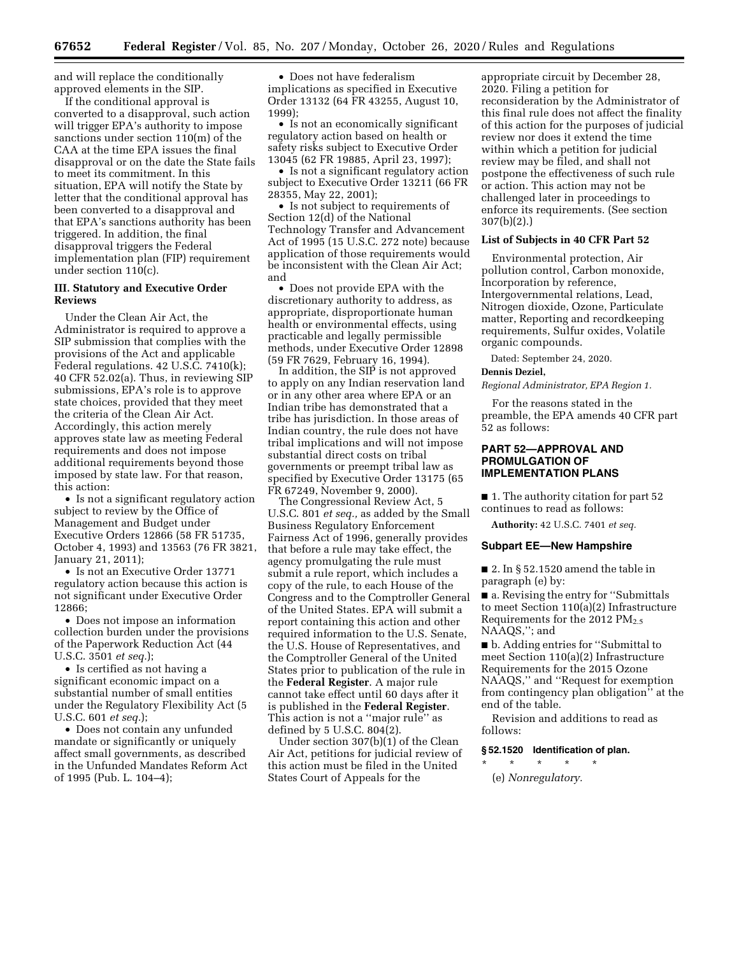and will replace the conditionally approved elements in the SIP.

If the conditional approval is converted to a disapproval, such action will trigger EPA's authority to impose sanctions under section 110(m) of the CAA at the time EPA issues the final disapproval or on the date the State fails to meet its commitment. In this situation, EPA will notify the State by letter that the conditional approval has been converted to a disapproval and that EPA's sanctions authority has been triggered. In addition, the final disapproval triggers the Federal implementation plan (FIP) requirement under section 110(c).

### **III. Statutory and Executive Order Reviews**

Under the Clean Air Act, the Administrator is required to approve a SIP submission that complies with the provisions of the Act and applicable Federal regulations. 42 U.S.C. 7410(k); 40 CFR 52.02(a). Thus, in reviewing SIP submissions, EPA's role is to approve state choices, provided that they meet the criteria of the Clean Air Act. Accordingly, this action merely approves state law as meeting Federal requirements and does not impose additional requirements beyond those imposed by state law. For that reason, this action:

• Is not a significant regulatory action subject to review by the Office of Management and Budget under Executive Orders 12866 (58 FR 51735, October 4, 1993) and 13563 (76 FR 3821, January 21, 2011);

• Is not an Executive Order 13771 regulatory action because this action is not significant under Executive Order 12866;

• Does not impose an information collection burden under the provisions of the Paperwork Reduction Act (44 U.S.C. 3501 *et seq.*);

• Is certified as not having a significant economic impact on a substantial number of small entities under the Regulatory Flexibility Act (5 U.S.C. 601 *et seq.*);

• Does not contain any unfunded mandate or significantly or uniquely affect small governments, as described in the Unfunded Mandates Reform Act of 1995 (Pub. L. 104–4);

• Does not have federalism implications as specified in Executive Order 13132 (64 FR 43255, August 10, 1999);

• Is not an economically significant regulatory action based on health or safety risks subject to Executive Order 13045 (62 FR 19885, April 23, 1997);

• Is not a significant regulatory action subject to Executive Order 13211 (66 FR 28355, May 22, 2001);

• Is not subject to requirements of Section 12(d) of the National Technology Transfer and Advancement Act of 1995 (15 U.S.C. 272 note) because application of those requirements would be inconsistent with the Clean Air Act; and

• Does not provide EPA with the discretionary authority to address, as appropriate, disproportionate human health or environmental effects, using practicable and legally permissible methods, under Executive Order 12898 (59 FR 7629, February 16, 1994).

In addition, the SIP is not approved to apply on any Indian reservation land or in any other area where EPA or an Indian tribe has demonstrated that a tribe has jurisdiction. In those areas of Indian country, the rule does not have tribal implications and will not impose substantial direct costs on tribal governments or preempt tribal law as specified by Executive Order 13175 (65 FR 67249, November 9, 2000).

The Congressional Review Act, 5 U.S.C. 801 *et seq.,* as added by the Small Business Regulatory Enforcement Fairness Act of 1996, generally provides that before a rule may take effect, the agency promulgating the rule must submit a rule report, which includes a copy of the rule, to each House of the Congress and to the Comptroller General of the United States. EPA will submit a report containing this action and other required information to the U.S. Senate, the U.S. House of Representatives, and the Comptroller General of the United States prior to publication of the rule in the **Federal Register**. A major rule cannot take effect until 60 days after it is published in the **Federal Register**. This action is not a ''major rule'' as defined by 5 U.S.C. 804(2).

Under section 307(b)(1) of the Clean Air Act, petitions for judicial review of this action must be filed in the United States Court of Appeals for the

appropriate circuit by December 28, 2020. Filing a petition for reconsideration by the Administrator of this final rule does not affect the finality of this action for the purposes of judicial review nor does it extend the time within which a petition for judicial review may be filed, and shall not postpone the effectiveness of such rule or action. This action may not be challenged later in proceedings to enforce its requirements. (See section 307(b)(2).)

### **List of Subjects in 40 CFR Part 52**

Environmental protection, Air pollution control, Carbon monoxide, Incorporation by reference, Intergovernmental relations, Lead, Nitrogen dioxide, Ozone, Particulate matter, Reporting and recordkeeping requirements, Sulfur oxides, Volatile organic compounds.

Dated: September 24, 2020.

# **Dennis Deziel,**

*Regional Administrator, EPA Region 1.* 

For the reasons stated in the preamble, the EPA amends 40 CFR part 52 as follows:

## **PART 52—APPROVAL AND PROMULGATION OF IMPLEMENTATION PLANS**

- 1. The authority citation for part 52 continues to read as follows:
- 

**Authority:** 42 U.S.C. 7401 *et seq.* 

### **Subpart EE—New Hampshire**

 $\blacksquare$  2. In § 52.1520 amend the table in paragraph (e) by:

■ a. Revising the entry for "Submittals" to meet Section 110(a)(2) Infrastructure Requirements for the 2012  $PM_{2.5}$ NAAQS,''; and

■ b. Adding entries for "Submittal to meet Section 110(a)(2) Infrastructure Requirements for the 2015 Ozone NAAQS,'' and ''Request for exemption from contingency plan obligation'' at the end of the table.

Revision and additions to read as follows:

### **§ 52.1520 Identification of plan.**

\* \* \* \* \* (e) *Nonregulatory.*